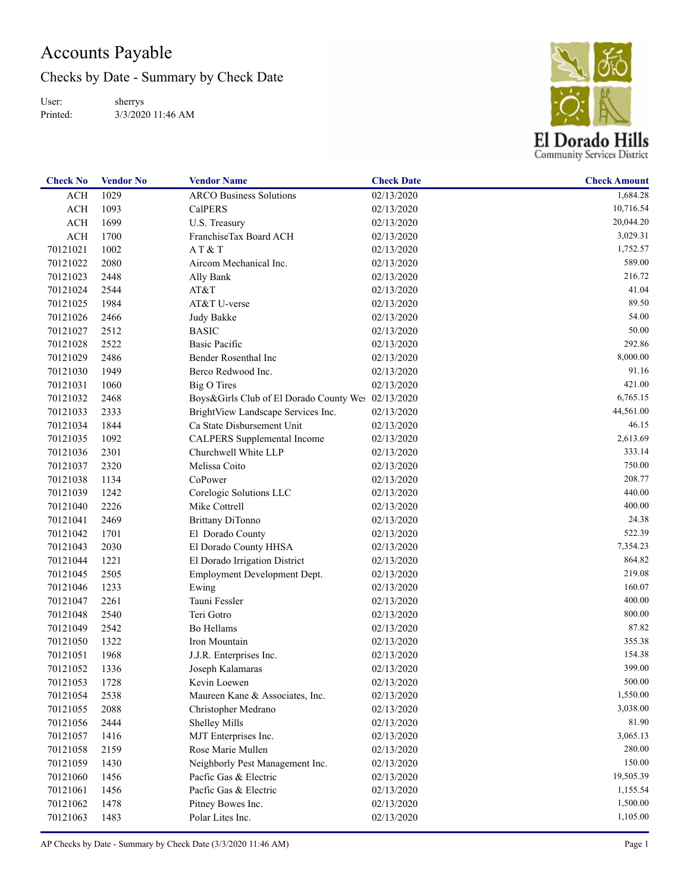## Accounts Payable

Checks by Date - Summary by Check Date

User: Printed: sherrys 3/3/2020 11:46 AM



| <b>Check No</b> | <b>Vendor No</b> | <b>Vendor Name</b>                                 | <b>Check Date</b> | <b>Check Amount</b> |
|-----------------|------------------|----------------------------------------------------|-------------------|---------------------|
| <b>ACH</b>      | 1029             | <b>ARCO Business Solutions</b>                     | 02/13/2020        | 1,684.28            |
| ACH             | 1093             | <b>CalPERS</b>                                     | 02/13/2020        | 10,716.54           |
| <b>ACH</b>      | 1699             | U.S. Treasury                                      | 02/13/2020        | 20,044.20           |
| <b>ACH</b>      | 1700             | FranchiseTax Board ACH                             | 02/13/2020        | 3,029.31            |
| 70121021        | 1002             | AT & T                                             | 02/13/2020        | 1,752.57            |
| 70121022        | 2080             | Aircom Mechanical Inc.                             | 02/13/2020        | 589.00              |
| 70121023        | 2448             | Ally Bank                                          | 02/13/2020        | 216.72              |
| 70121024        | 2544             | AT&T                                               | 02/13/2020        | 41.04               |
| 70121025        | 1984             | AT&T U-verse                                       | 02/13/2020        | 89.50               |
| 70121026        | 2466             | Judy Bakke                                         | 02/13/2020        | 54.00               |
| 70121027        | 2512             | <b>BASIC</b>                                       | 02/13/2020        | 50.00               |
| 70121028        | 2522             | <b>Basic Pacific</b>                               | 02/13/2020        | 292.86              |
| 70121029        | 2486             | Bender Rosenthal Inc                               | 02/13/2020        | 8,000.00            |
| 70121030        | 1949             | Berco Redwood Inc.                                 | 02/13/2020        | 91.16               |
| 70121031        | 1060             | <b>Big O Tires</b>                                 | 02/13/2020        | 421.00              |
| 70121032        | 2468             | Boys&Girls Club of El Dorado County Wes 02/13/2020 |                   | 6,765.15            |
| 70121033        | 2333             | BrightView Landscape Services Inc.                 | 02/13/2020        | 44,561.00           |
| 70121034        | 1844             | Ca State Disbursement Unit                         | 02/13/2020        | 46.15               |
| 70121035        | 1092             | CALPERS Supplemental Income                        | 02/13/2020        | 2,613.69            |
| 70121036        | 2301             | Churchwell White LLP                               | 02/13/2020        | 333.14              |
| 70121037        | 2320             | Melissa Coito                                      | 02/13/2020        | 750.00              |
| 70121038        | 1134             | CoPower                                            | 02/13/2020        | 208.77              |
| 70121039        | 1242             | Corelogic Solutions LLC                            | 02/13/2020        | 440.00              |
| 70121040        | 2226             | Mike Cottrell                                      | 02/13/2020        | 400.00              |
| 70121041        | 2469             | Brittany DiTonno                                   | 02/13/2020        | 24.38               |
| 70121042        | 1701             | El Dorado County                                   | 02/13/2020        | 522.39              |
| 70121043        | 2030             | El Dorado County HHSA                              | 02/13/2020        | 7,354.23            |
| 70121044        | 1221             | El Dorado Irrigation District                      | 02/13/2020        | 864.82              |
| 70121045        | 2505             | Employment Development Dept.                       | 02/13/2020        | 219.08              |
| 70121046        | 1233             | Ewing                                              | 02/13/2020        | 160.07              |
| 70121047        | 2261             | Tauni Fessler                                      | 02/13/2020        | 400.00              |
| 70121048        | 2540             | Teri Gotro                                         | 02/13/2020        | 800.00              |
| 70121049        | 2542             | Bo Hellams                                         | 02/13/2020        | 87.82               |
| 70121050        | 1322             | Iron Mountain                                      | 02/13/2020        | 355.38              |
| 70121051        | 1968             | J.J.R. Enterprises Inc.                            | 02/13/2020        | 154.38              |
| 70121052        | 1336             | Joseph Kalamaras                                   | 02/13/2020        | 399.00              |
| 70121053        | 1728             | Kevin Loewen                                       | 02/13/2020        | 500.00              |
| 70121054        | 2538             | Maureen Kane & Associates, Inc.                    | 02/13/2020        | 1,550.00            |
| 70121055        | 2088             | Christopher Medrano                                | 02/13/2020        | 3,038.00            |
| 70121056        | 2444             | <b>Shelley Mills</b>                               | 02/13/2020        | 81.90               |
| 70121057        | 1416             | MJT Enterprises Inc.                               | 02/13/2020        | 3,065.13            |
| 70121058        | 2159             | Rose Marie Mullen                                  | 02/13/2020        | 280.00              |
| 70121059        | 1430             | Neighborly Pest Management Inc.                    | 02/13/2020        | 150.00              |
| 70121060        | 1456             | Pacfic Gas & Electric                              | 02/13/2020        | 19,505.39           |
| 70121061        | 1456             | Pacfic Gas & Electric                              | 02/13/2020        | 1,155.54            |
| 70121062        | 1478             | Pitney Bowes Inc.                                  | 02/13/2020        | 1,500.00            |
| 70121063        | 1483             | Polar Lites Inc.                                   | 02/13/2020        | 1,105.00            |
|                 |                  |                                                    |                   |                     |

AP Checks by Date - Summary by Check Date (3/3/2020 11:46 AM) Page 1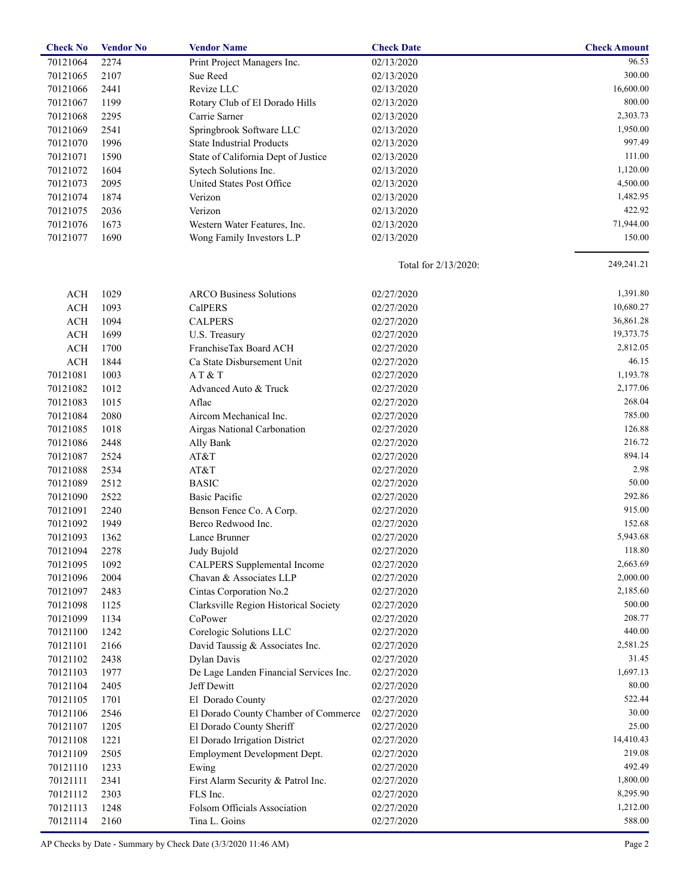| <b>Check No</b> | <b>Vendor No</b> | <b>Vendor Name</b>                     | <b>Check Date</b>    | <b>Check Amount</b> |
|-----------------|------------------|----------------------------------------|----------------------|---------------------|
| 70121064        | 2274             | Print Project Managers Inc.            | 02/13/2020           | 96.53               |
| 70121065        | 2107             | Sue Reed                               | 02/13/2020           | 300.00              |
| 70121066        | 2441             | Revize LLC                             | 02/13/2020           | 16,600.00           |
| 70121067        | 1199             | Rotary Club of El Dorado Hills         | 02/13/2020           | 800.00              |
| 70121068        | 2295             | Carrie Sarner                          | 02/13/2020           | 2,303.73            |
| 70121069        | 2541             | Springbrook Software LLC               | 02/13/2020           | 1,950.00            |
| 70121070        | 1996             | <b>State Industrial Products</b>       | 02/13/2020           | 997.49              |
| 70121071        | 1590             | State of California Dept of Justice    | 02/13/2020           | 111.00              |
| 70121072        | 1604             | Sytech Solutions Inc.                  | 02/13/2020           | 1,120.00            |
| 70121073        | 2095             | United States Post Office              | 02/13/2020           | 4,500.00            |
| 70121074        | 1874             | Verizon                                | 02/13/2020           | 1,482.95            |
| 70121075        | 2036             | Verizon                                | 02/13/2020           | 422.92              |
| 70121076        | 1673             | Western Water Features, Inc.           | 02/13/2020           | 71,944.00           |
| 70121077        | 1690             | Wong Family Investors L.P              | 02/13/2020           | 150.00              |
|                 |                  |                                        |                      |                     |
|                 |                  |                                        | Total for 2/13/2020: | 249,241.21          |
| ACH             | 1029             | <b>ARCO Business Solutions</b>         | 02/27/2020           | 1,391.80            |
| <b>ACH</b>      | 1093             | <b>CalPERS</b>                         | 02/27/2020           | 10,680.27           |
| $\rm ACH$       | 1094             | <b>CALPERS</b>                         | 02/27/2020           | 36,861.28           |
| $\rm ACH$       | 1699             | U.S. Treasury                          | 02/27/2020           | 19,373.75           |
| $\rm ACH$       | 1700             | FranchiseTax Board ACH                 | 02/27/2020           | 2,812.05            |
| $\rm ACH$       | 1844             | Ca State Disbursement Unit             | 02/27/2020           | 46.15               |
| 70121081        | 1003             | AT&T                                   | 02/27/2020           | 1,193.78            |
| 70121082        | 1012             | Advanced Auto & Truck                  | 02/27/2020           | 2,177.06            |
| 70121083        | 1015             | Aflac                                  | 02/27/2020           | 268.04              |
| 70121084        | 2080             | Aircom Mechanical Inc.                 | 02/27/2020           | 785.00              |
| 70121085        | 1018             | Airgas National Carbonation            | 02/27/2020           | 126.88              |
| 70121086        | 2448             | Ally Bank                              | 02/27/2020           | 216.72              |
| 70121087        | 2524             | AT&T                                   | 02/27/2020           | 894.14              |
| 70121088        | 2534             | AT&T                                   | 02/27/2020           | 2.98                |
| 70121089        | 2512             | <b>BASIC</b>                           | 02/27/2020           | 50.00               |
| 70121090        | 2522             | Basic Pacific                          | 02/27/2020           | 292.86              |
| 70121091        | 2240             | Benson Fence Co. A Corp.               | 02/27/2020           | 915.00              |
| 70121092        | 1949             | Berco Redwood Inc.                     | 02/27/2020           | 152.68              |
|                 |                  | Lance Brunner                          | 02/27/2020           | 5,943.68            |
| 70121093        | 1362             |                                        |                      | 118.80              |
| 70121094        | 2278             | Judy Bujold                            | 02/27/2020           |                     |
| 70121095        | 1092             | <b>CALPERS</b> Supplemental Income     | 02/27/2020           | 2,663.69            |
| 70121096        | 2004             | Chavan & Associates LLP                | 02/27/2020           | 2,000.00            |
| 70121097        | 2483             | Cintas Corporation No.2                | 02/27/2020           | 2,185.60            |
| 70121098        | 1125             | Clarksville Region Historical Society  | 02/27/2020           | 500.00              |
| 70121099        | 1134             | CoPower                                | 02/27/2020           | 208.77              |
| 70121100        | 1242             | Corelogic Solutions LLC                | 02/27/2020           | 440.00              |
| 70121101        | 2166             | David Taussig & Associates Inc.        | 02/27/2020           | 2,581.25            |
| 70121102        | 2438             | <b>Dylan Davis</b>                     | 02/27/2020           | 31.45               |
| 70121103        | 1977             | De Lage Landen Financial Services Inc. | 02/27/2020           | 1,697.13            |
| 70121104        | 2405             | Jeff Dewitt                            | 02/27/2020           | 80.00               |
| 70121105        | 1701             | El Dorado County                       | 02/27/2020           | 522.44              |
| 70121106        | 2546             | El Dorado County Chamber of Commerce   | 02/27/2020           | 30.00               |
| 70121107        | 1205             | El Dorado County Sheriff               | 02/27/2020           | 25.00               |
| 70121108        | 1221             | El Dorado Irrigation District          | 02/27/2020           | 14,410.43           |
| 70121109        | 2505             | Employment Development Dept.           | 02/27/2020           | 219.08              |
| 70121110        | 1233             | Ewing                                  | 02/27/2020           | 492.49              |
| 70121111        | 2341             | First Alarm Security & Patrol Inc.     | 02/27/2020           | 1,800.00            |
| 70121112        | 2303             | FLS Inc.                               | 02/27/2020           | 8,295.90            |
| 70121113        | 1248             | Folsom Officials Association           | 02/27/2020           | 1,212.00            |
| 70121114        | 2160             | Tina L. Goins                          | 02/27/2020           | 588.00              |
|                 |                  |                                        |                      |                     |

AP Checks by Date - Summary by Check Date (3/3/2020 11:46 AM) Page 2